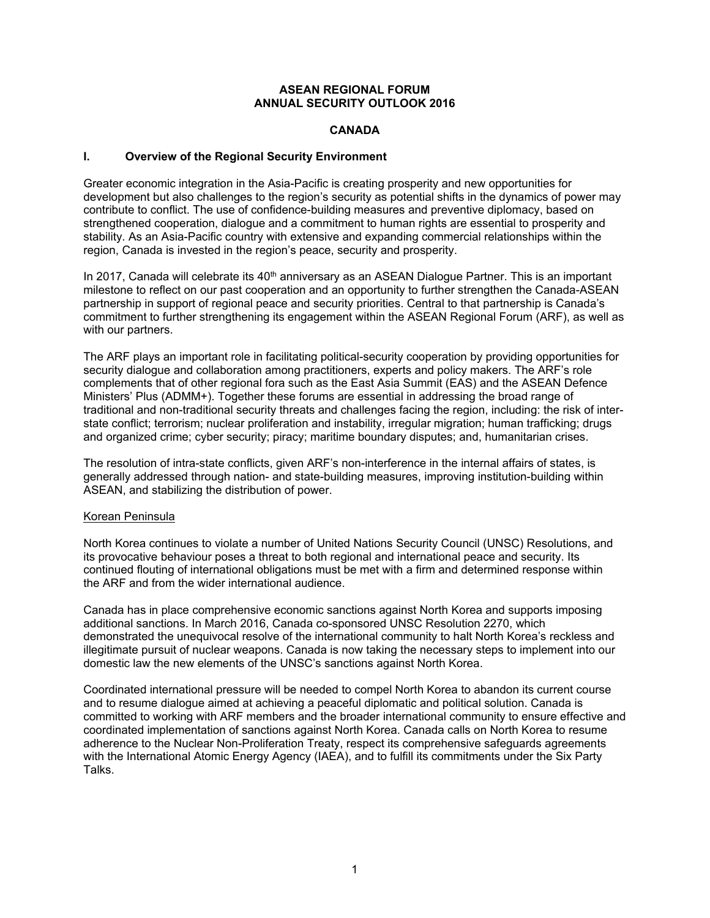### **ASEAN REGIONAL FORUM ANNUAL SECURITY OUTLOOK 2016**

### **CANADA**

## **I. Overview of the Regional Security Environment**

Greater economic integration in the Asia-Pacific is creating prosperity and new opportunities for development but also challenges to the region's security as potential shifts in the dynamics of power may contribute to conflict. The use of confidence-building measures and preventive diplomacy, based on strengthened cooperation, dialogue and a commitment to human rights are essential to prosperity and stability. As an Asia-Pacific country with extensive and expanding commercial relationships within the region, Canada is invested in the region's peace, security and prosperity.

In 2017, Canada will celebrate its  $40<sup>th</sup>$  anniversary as an ASEAN Dialogue Partner. This is an important milestone to reflect on our past cooperation and an opportunity to further strengthen the Canada-ASEAN partnership in support of regional peace and security priorities. Central to that partnership is Canada's commitment to further strengthening its engagement within the ASEAN Regional Forum (ARF), as well as with our partners.

The ARF plays an important role in facilitating political-security cooperation by providing opportunities for security dialogue and collaboration among practitioners, experts and policy makers. The ARF's role complements that of other regional fora such as the East Asia Summit (EAS) and the ASEAN Defence Ministers' Plus (ADMM+). Together these forums are essential in addressing the broad range of traditional and non-traditional security threats and challenges facing the region, including: the risk of interstate conflict; terrorism; nuclear proliferation and instability, irregular migration; human trafficking; drugs and organized crime; cyber security; piracy; maritime boundary disputes; and, humanitarian crises.

The resolution of intra-state conflicts, given ARF's non-interference in the internal affairs of states, is generally addressed through nation- and state-building measures, improving institution-building within ASEAN, and stabilizing the distribution of power.

### Korean Peninsula

North Korea continues to violate a number of United Nations Security Council (UNSC) Resolutions, and its provocative behaviour poses a threat to both regional and international peace and security. Its continued flouting of international obligations must be met with a firm and determined response within the ARF and from the wider international audience.

Canada has in place comprehensive economic sanctions against North Korea and supports imposing additional sanctions. In March 2016, Canada co-sponsored UNSC Resolution 2270, which demonstrated the unequivocal resolve of the international community to halt North Korea's reckless and illegitimate pursuit of nuclear weapons. Canada is now taking the necessary steps to implement into our domestic law the new elements of the UNSC's sanctions against North Korea.

Coordinated international pressure will be needed to compel North Korea to abandon its current course and to resume dialogue aimed at achieving a peaceful diplomatic and political solution. Canada is committed to working with ARF members and the broader international community to ensure effective and coordinated implementation of sanctions against North Korea. Canada calls on North Korea to resume adherence to the Nuclear Non-Proliferation Treaty, respect its comprehensive safeguards agreements with the International Atomic Energy Agency (IAEA), and to fulfill its commitments under the Six Party Talks.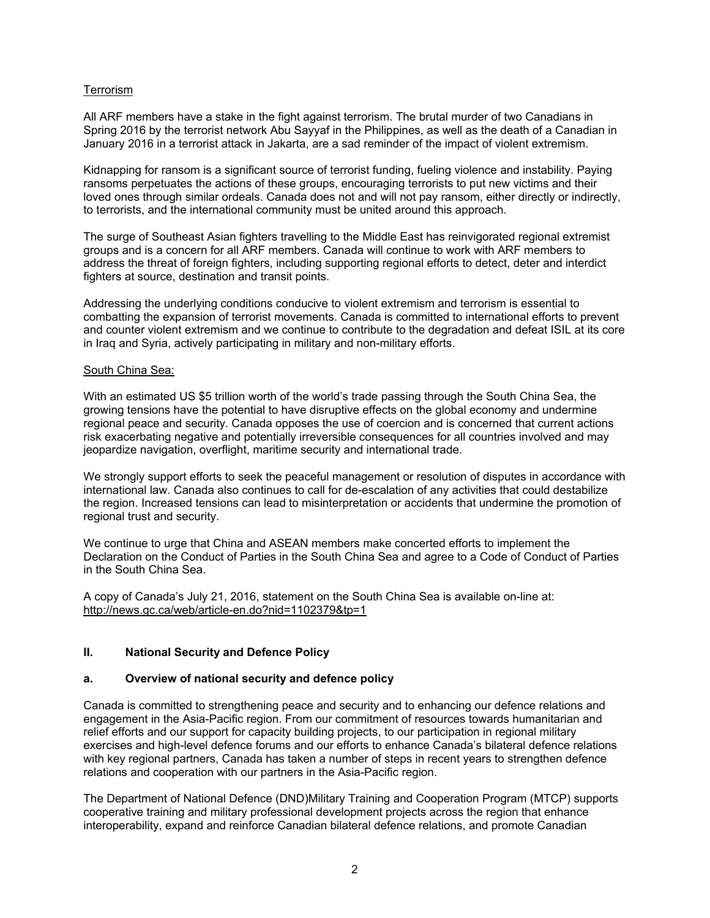# **Terrorism**

All ARF members have a stake in the fight against terrorism. The brutal murder of two Canadians in Spring 2016 by the terrorist network Abu Sayyaf in the Philippines, as well as the death of a Canadian in January 2016 in a terrorist attack in Jakarta, are a sad reminder of the impact of violent extremism.

Kidnapping for ransom is a significant source of terrorist funding, fueling violence and instability. Paying ransoms perpetuates the actions of these groups, encouraging terrorists to put new victims and their loved ones through similar ordeals. Canada does not and will not pay ransom, either directly or indirectly, to terrorists, and the international community must be united around this approach.

The surge of Southeast Asian fighters travelling to the Middle East has reinvigorated regional extremist groups and is a concern for all ARF members. Canada will continue to work with ARF members to address the threat of foreign fighters, including supporting regional efforts to detect, deter and interdict fighters at source, destination and transit points.

Addressing the underlying conditions conducive to violent extremism and terrorism is essential to combatting the expansion of terrorist movements. Canada is committed to international efforts to prevent and counter violent extremism and we continue to contribute to the degradation and defeat ISIL at its core in Iraq and Syria, actively participating in military and non-military efforts.

### South China Sea:

With an estimated US \$5 trillion worth of the world's trade passing through the South China Sea, the growing tensions have the potential to have disruptive effects on the global economy and undermine regional peace and security. Canada opposes the use of coercion and is concerned that current actions risk exacerbating negative and potentially irreversible consequences for all countries involved and may jeopardize navigation, overflight, maritime security and international trade.

We strongly support efforts to seek the peaceful management or resolution of disputes in accordance with international law. Canada also continues to call for de-escalation of any activities that could destabilize the region. Increased tensions can lead to misinterpretation or accidents that undermine the promotion of regional trust and security.

We continue to urge that China and ASEAN members make concerted efforts to implement the Declaration on the Conduct of Parties in the South China Sea and agree to a Code of Conduct of Parties in the South China Sea.

A copy of Canada's July 21, 2016, statement on the South China Sea is available on-line at: http://news.gc.ca/web/article-en.do?nid=1102379&tp=1

### **II. National Security and Defence Policy**

### **a. Overview of national security and defence policy**

Canada is committed to strengthening peace and security and to enhancing our defence relations and engagement in the Asia-Pacific region. From our commitment of resources towards humanitarian and relief efforts and our support for capacity building projects, to our participation in regional military exercises and high-level defence forums and our efforts to enhance Canada's bilateral defence relations with key regional partners, Canada has taken a number of steps in recent years to strengthen defence relations and cooperation with our partners in the Asia-Pacific region.

The Department of National Defence (DND)Military Training and Cooperation Program (MTCP) supports cooperative training and military professional development projects across the region that enhance interoperability, expand and reinforce Canadian bilateral defence relations, and promote Canadian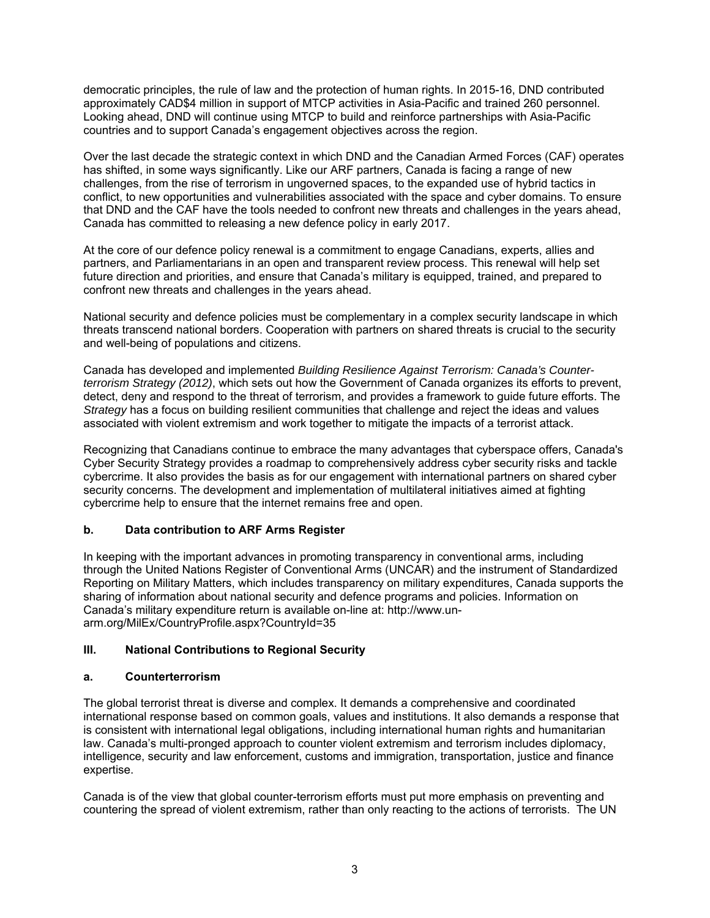democratic principles, the rule of law and the protection of human rights. In 2015-16, DND contributed approximately CAD\$4 million in support of MTCP activities in Asia-Pacific and trained 260 personnel. Looking ahead, DND will continue using MTCP to build and reinforce partnerships with Asia-Pacific countries and to support Canada's engagement objectives across the region.

Over the last decade the strategic context in which DND and the Canadian Armed Forces (CAF) operates has shifted, in some ways significantly. Like our ARF partners, Canada is facing a range of new challenges, from the rise of terrorism in ungoverned spaces, to the expanded use of hybrid tactics in conflict, to new opportunities and vulnerabilities associated with the space and cyber domains. To ensure that DND and the CAF have the tools needed to confront new threats and challenges in the years ahead, Canada has committed to releasing a new defence policy in early 2017.

At the core of our defence policy renewal is a commitment to engage Canadians, experts, allies and partners, and Parliamentarians in an open and transparent review process. This renewal will help set future direction and priorities, and ensure that Canada's military is equipped, trained, and prepared to confront new threats and challenges in the years ahead.

National security and defence policies must be complementary in a complex security landscape in which threats transcend national borders. Cooperation with partners on shared threats is crucial to the security and well-being of populations and citizens.

Canada has developed and implemented *Building Resilience Against Terrorism: Canada's Counterterrorism Strategy (2012)*, which sets out how the Government of Canada organizes its efforts to prevent, detect, deny and respond to the threat of terrorism, and provides a framework to guide future efforts. The *Strategy* has a focus on building resilient communities that challenge and reject the ideas and values associated with violent extremism and work together to mitigate the impacts of a terrorist attack.

Recognizing that Canadians continue to embrace the many advantages that cyberspace offers, Canada's Cyber Security Strategy provides a roadmap to comprehensively address cyber security risks and tackle cybercrime. It also provides the basis as for our engagement with international partners on shared cyber security concerns. The development and implementation of multilateral initiatives aimed at fighting cybercrime help to ensure that the internet remains free and open.

# **b. Data contribution to ARF Arms Register**

In keeping with the important advances in promoting transparency in conventional arms, including through the United Nations Register of Conventional Arms (UNCAR) and the instrument of Standardized Reporting on Military Matters, which includes transparency on military expenditures, Canada supports the sharing of information about national security and defence programs and policies. Information on Canada's military expenditure return is available on-line at: http://www.unarm.org/MilEx/CountryProfile.aspx?CountryId=35

## **III. National Contributions to Regional Security**

### **a. Counterterrorism**

The global terrorist threat is diverse and complex. It demands a comprehensive and coordinated international response based on common goals, values and institutions. It also demands a response that is consistent with international legal obligations, including international human rights and humanitarian law. Canada's multi-pronged approach to counter violent extremism and terrorism includes diplomacy, intelligence, security and law enforcement, customs and immigration, transportation, justice and finance expertise.

Canada is of the view that global counter-terrorism efforts must put more emphasis on preventing and countering the spread of violent extremism, rather than only reacting to the actions of terrorists. The UN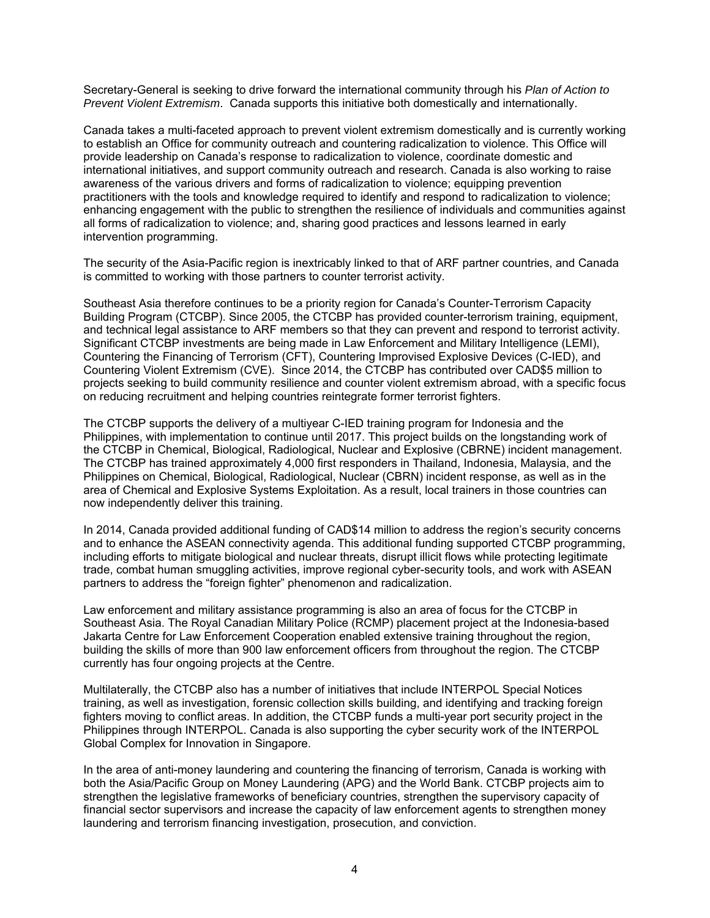Secretary-General is seeking to drive forward the international community through his *Plan of Action to Prevent Violent Extremism*. Canada supports this initiative both domestically and internationally.

Canada takes a multi-faceted approach to prevent violent extremism domestically and is currently working to establish an Office for community outreach and countering radicalization to violence. This Office will provide leadership on Canada's response to radicalization to violence, coordinate domestic and international initiatives, and support community outreach and research. Canada is also working to raise awareness of the various drivers and forms of radicalization to violence; equipping prevention practitioners with the tools and knowledge required to identify and respond to radicalization to violence; enhancing engagement with the public to strengthen the resilience of individuals and communities against all forms of radicalization to violence; and, sharing good practices and lessons learned in early intervention programming.

The security of the Asia-Pacific region is inextricably linked to that of ARF partner countries, and Canada is committed to working with those partners to counter terrorist activity.

Southeast Asia therefore continues to be a priority region for Canada's Counter-Terrorism Capacity Building Program (CTCBP). Since 2005, the CTCBP has provided counter-terrorism training, equipment, and technical legal assistance to ARF members so that they can prevent and respond to terrorist activity. Significant CTCBP investments are being made in Law Enforcement and Military Intelligence (LEMI), Countering the Financing of Terrorism (CFT), Countering Improvised Explosive Devices (C-IED), and Countering Violent Extremism (CVE). Since 2014, the CTCBP has contributed over CAD\$5 million to projects seeking to build community resilience and counter violent extremism abroad, with a specific focus on reducing recruitment and helping countries reintegrate former terrorist fighters.

The CTCBP supports the delivery of a multiyear C-IED training program for Indonesia and the Philippines, with implementation to continue until 2017. This project builds on the longstanding work of the CTCBP in Chemical, Biological, Radiological, Nuclear and Explosive (CBRNE) incident management. The CTCBP has trained approximately 4,000 first responders in Thailand, Indonesia, Malaysia, and the Philippines on Chemical, Biological, Radiological, Nuclear (CBRN) incident response, as well as in the area of Chemical and Explosive Systems Exploitation. As a result, local trainers in those countries can now independently deliver this training.

In 2014, Canada provided additional funding of CAD\$14 million to address the region's security concerns and to enhance the ASEAN connectivity agenda. This additional funding supported CTCBP programming, including efforts to mitigate biological and nuclear threats, disrupt illicit flows while protecting legitimate trade, combat human smuggling activities, improve regional cyber-security tools, and work with ASEAN partners to address the "foreign fighter" phenomenon and radicalization.

Law enforcement and military assistance programming is also an area of focus for the CTCBP in Southeast Asia. The Royal Canadian Military Police (RCMP) placement project at the Indonesia-based Jakarta Centre for Law Enforcement Cooperation enabled extensive training throughout the region, building the skills of more than 900 law enforcement officers from throughout the region. The CTCBP currently has four ongoing projects at the Centre.

Multilaterally, the CTCBP also has a number of initiatives that include INTERPOL Special Notices training, as well as investigation, forensic collection skills building, and identifying and tracking foreign fighters moving to conflict areas. In addition, the CTCBP funds a multi-year port security project in the Philippines through INTERPOL. Canada is also supporting the cyber security work of the INTERPOL Global Complex for Innovation in Singapore.

In the area of anti-money laundering and countering the financing of terrorism, Canada is working with both the Asia/Pacific Group on Money Laundering (APG) and the World Bank. CTCBP projects aim to strengthen the legislative frameworks of beneficiary countries, strengthen the supervisory capacity of financial sector supervisors and increase the capacity of law enforcement agents to strengthen money laundering and terrorism financing investigation, prosecution, and conviction.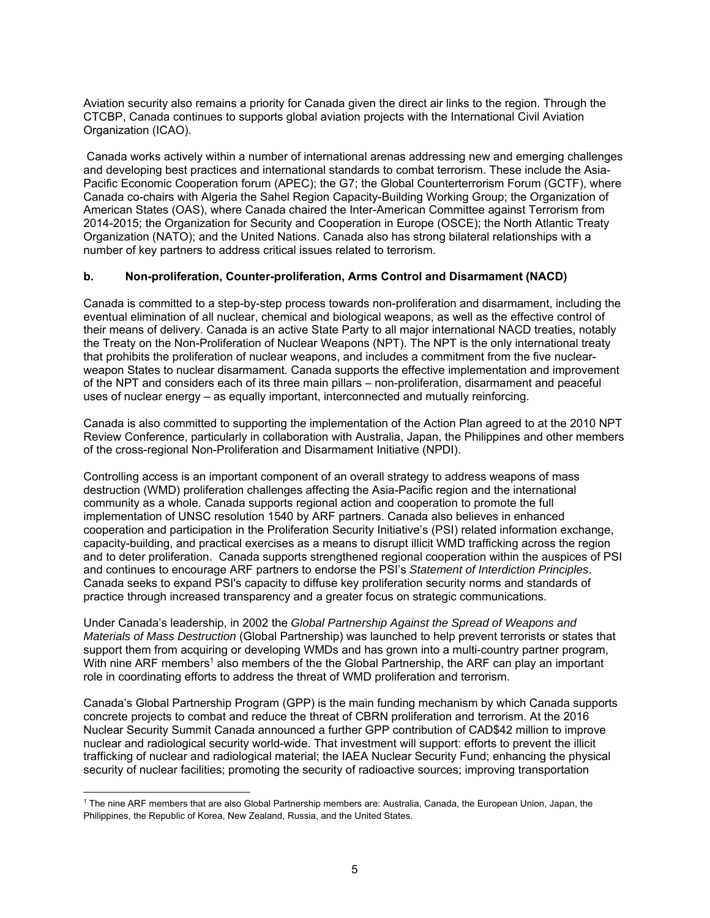Aviation security also remains a priority for Canada given the direct air links to the region. Through the CTCBP, Canada continues to supports global aviation projects with the International Civil Aviation Organization (ICAO).

 Canada works actively within a number of international arenas addressing new and emerging challenges and developing best practices and international standards to combat terrorism. These include the Asia-Pacific Economic Cooperation forum (APEC); the G7; the Global Counterterrorism Forum (GCTF), where Canada co-chairs with Algeria the Sahel Region Capacity-Building Working Group; the Organization of American States (OAS), where Canada chaired the Inter-American Committee against Terrorism from 2014-2015; the Organization for Security and Cooperation in Europe (OSCE); the North Atlantic Treaty Organization (NATO); and the United Nations. Canada also has strong bilateral relationships with a number of key partners to address critical issues related to terrorism.

## **b. Non-proliferation, Counter-proliferation, Arms Control and Disarmament (NACD)**

Canada is committed to a step-by-step process towards non-proliferation and disarmament, including the eventual elimination of all nuclear, chemical and biological weapons, as well as the effective control of their means of delivery. Canada is an active State Party to all major international NACD treaties, notably the Treaty on the Non-Proliferation of Nuclear Weapons (NPT). The NPT is the only international treaty that prohibits the proliferation of nuclear weapons, and includes a commitment from the five nuclearweapon States to nuclear disarmament. Canada supports the effective implementation and improvement of the NPT and considers each of its three main pillars – non-proliferation, disarmament and peaceful uses of nuclear energy – as equally important, interconnected and mutually reinforcing.

Canada is also committed to supporting the implementation of the Action Plan agreed to at the 2010 NPT Review Conference, particularly in collaboration with Australia, Japan, the Philippines and other members of the cross-regional Non-Proliferation and Disarmament Initiative (NPDI).

Controlling access is an important component of an overall strategy to address weapons of mass destruction (WMD) proliferation challenges affecting the Asia-Pacific region and the international community as a whole. Canada supports regional action and cooperation to promote the full implementation of UNSC resolution 1540 by ARF partners. Canada also believes in enhanced cooperation and participation in the Proliferation Security Initiative's (PSI) related information exchange, capacity-building, and practical exercises as a means to disrupt illicit WMD trafficking across the region and to deter proliferation. Canada supports strengthened regional cooperation within the auspices of PSI and continues to encourage ARF partners to endorse the PSI's *Statement of Interdiction Principles*. Canada seeks to expand PSI's capacity to diffuse key proliferation security norms and standards of practice through increased transparency and a greater focus on strategic communications.

Under Canada's leadership, in 2002 the *Global Partnership Against the Spread of Weapons and Materials of Mass Destruction* (Global Partnership) was launched to help prevent terrorists or states that support them from acquiring or developing WMDs and has grown into a multi-country partner program, With nine ARF members<sup>1</sup> also members of the the Global Partnership, the ARF can play an important role in coordinating efforts to address the threat of WMD proliferation and terrorism.

Canada's Global Partnership Program (GPP) is the main funding mechanism by which Canada supports concrete projects to combat and reduce the threat of CBRN proliferation and terrorism. At the 2016 Nuclear Security Summit Canada announced a further GPP contribution of CAD\$42 million to improve nuclear and radiological security world-wide. That investment will support: efforts to prevent the illicit trafficking of nuclear and radiological material; the IAEA Nuclear Security Fund; enhancing the physical security of nuclear facilities; promoting the security of radioactive sources; improving transportation

 1 The nine ARF members that are also Global Partnership members are: Australia, Canada, the European Union, Japan, the Philippines, the Republic of Korea, New Zealand, Russia, and the United States.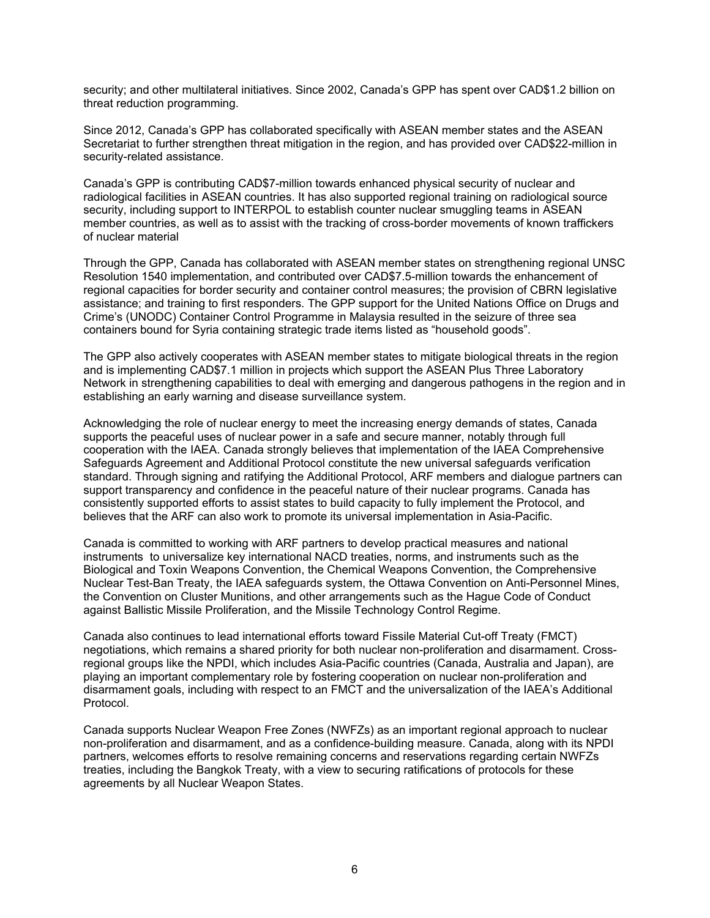security; and other multilateral initiatives. Since 2002, Canada's GPP has spent over CAD\$1.2 billion on threat reduction programming.

Since 2012, Canada's GPP has collaborated specifically with ASEAN member states and the ASEAN Secretariat to further strengthen threat mitigation in the region, and has provided over CAD\$22-million in security-related assistance.

Canada's GPP is contributing CAD\$7-million towards enhanced physical security of nuclear and radiological facilities in ASEAN countries. It has also supported regional training on radiological source security, including support to INTERPOL to establish counter nuclear smuggling teams in ASEAN member countries, as well as to assist with the tracking of cross-border movements of known traffickers of nuclear material

Through the GPP, Canada has collaborated with ASEAN member states on strengthening regional UNSC Resolution 1540 implementation, and contributed over CAD\$7.5-million towards the enhancement of regional capacities for border security and container control measures; the provision of CBRN legislative assistance; and training to first responders. The GPP support for the United Nations Office on Drugs and Crime's (UNODC) Container Control Programme in Malaysia resulted in the seizure of three sea containers bound for Syria containing strategic trade items listed as "household goods".

The GPP also actively cooperates with ASEAN member states to mitigate biological threats in the region and is implementing CAD\$7.1 million in projects which support the ASEAN Plus Three Laboratory Network in strengthening capabilities to deal with emerging and dangerous pathogens in the region and in establishing an early warning and disease surveillance system.

Acknowledging the role of nuclear energy to meet the increasing energy demands of states, Canada supports the peaceful uses of nuclear power in a safe and secure manner, notably through full cooperation with the IAEA. Canada strongly believes that implementation of the IAEA Comprehensive Safeguards Agreement and Additional Protocol constitute the new universal safeguards verification standard. Through signing and ratifying the Additional Protocol, ARF members and dialogue partners can support transparency and confidence in the peaceful nature of their nuclear programs. Canada has consistently supported efforts to assist states to build capacity to fully implement the Protocol, and believes that the ARF can also work to promote its universal implementation in Asia-Pacific.

Canada is committed to working with ARF partners to develop practical measures and national instruments to universalize key international NACD treaties, norms, and instruments such as the Biological and Toxin Weapons Convention, the Chemical Weapons Convention, the Comprehensive Nuclear Test-Ban Treaty, the IAEA safeguards system, the Ottawa Convention on Anti-Personnel Mines, the Convention on Cluster Munitions, and other arrangements such as the Hague Code of Conduct against Ballistic Missile Proliferation, and the Missile Technology Control Regime.

Canada also continues to lead international efforts toward Fissile Material Cut-off Treaty (FMCT) negotiations, which remains a shared priority for both nuclear non-proliferation and disarmament. Crossregional groups like the NPDI, which includes Asia-Pacific countries (Canada, Australia and Japan), are playing an important complementary role by fostering cooperation on nuclear non-proliferation and disarmament goals, including with respect to an FMCT and the universalization of the IAEA's Additional Protocol.

Canada supports Nuclear Weapon Free Zones (NWFZs) as an important regional approach to nuclear non-proliferation and disarmament, and as a confidence-building measure. Canada, along with its NPDI partners, welcomes efforts to resolve remaining concerns and reservations regarding certain NWFZs treaties, including the Bangkok Treaty, with a view to securing ratifications of protocols for these agreements by all Nuclear Weapon States.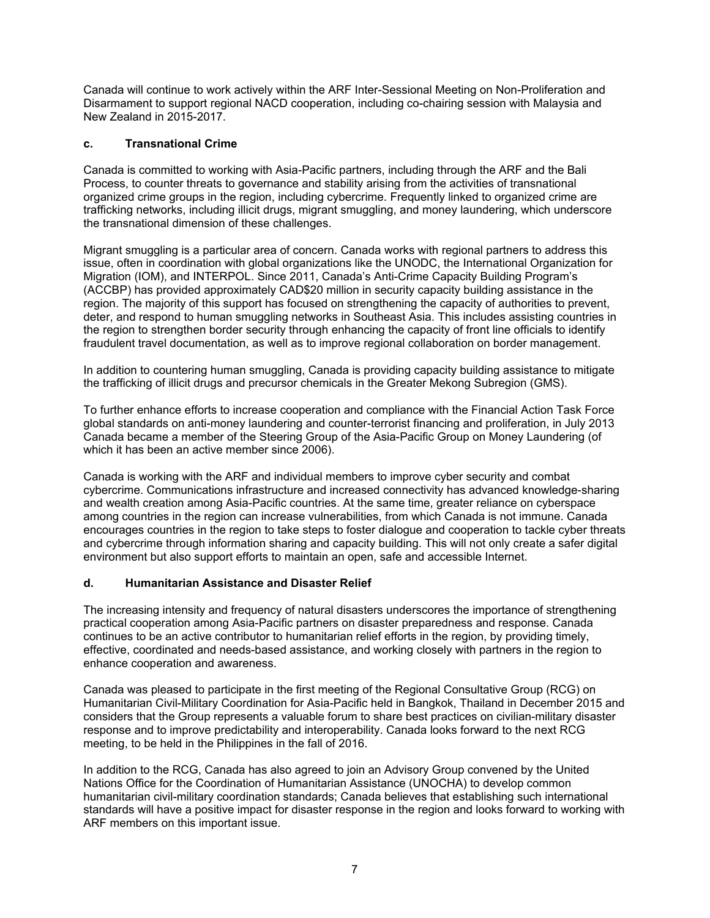Canada will continue to work actively within the ARF Inter-Sessional Meeting on Non-Proliferation and Disarmament to support regional NACD cooperation, including co-chairing session with Malaysia and New Zealand in 2015-2017.

# **c. Transnational Crime**

Canada is committed to working with Asia-Pacific partners, including through the ARF and the Bali Process, to counter threats to governance and stability arising from the activities of transnational organized crime groups in the region, including cybercrime. Frequently linked to organized crime are trafficking networks, including illicit drugs, migrant smuggling, and money laundering, which underscore the transnational dimension of these challenges.

Migrant smuggling is a particular area of concern. Canada works with regional partners to address this issue, often in coordination with global organizations like the UNODC, the International Organization for Migration (IOM), and INTERPOL. Since 2011, Canada's Anti-Crime Capacity Building Program's (ACCBP) has provided approximately CAD\$20 million in security capacity building assistance in the region. The majority of this support has focused on strengthening the capacity of authorities to prevent, deter, and respond to human smuggling networks in Southeast Asia. This includes assisting countries in the region to strengthen border security through enhancing the capacity of front line officials to identify fraudulent travel documentation, as well as to improve regional collaboration on border management.

In addition to countering human smuggling, Canada is providing capacity building assistance to mitigate the trafficking of illicit drugs and precursor chemicals in the Greater Mekong Subregion (GMS).

To further enhance efforts to increase cooperation and compliance with the Financial Action Task Force global standards on anti-money laundering and counter-terrorist financing and proliferation, in July 2013 Canada became a member of the Steering Group of the Asia-Pacific Group on Money Laundering (of which it has been an active member since 2006).

Canada is working with the ARF and individual members to improve cyber security and combat cybercrime. Communications infrastructure and increased connectivity has advanced knowledge-sharing and wealth creation among Asia-Pacific countries. At the same time, greater reliance on cyberspace among countries in the region can increase vulnerabilities, from which Canada is not immune. Canada encourages countries in the region to take steps to foster dialogue and cooperation to tackle cyber threats and cybercrime through information sharing and capacity building. This will not only create a safer digital environment but also support efforts to maintain an open, safe and accessible Internet.

# **d. Humanitarian Assistance and Disaster Relief**

The increasing intensity and frequency of natural disasters underscores the importance of strengthening practical cooperation among Asia-Pacific partners on disaster preparedness and response. Canada continues to be an active contributor to humanitarian relief efforts in the region, by providing timely, effective, coordinated and needs-based assistance, and working closely with partners in the region to enhance cooperation and awareness.

Canada was pleased to participate in the first meeting of the Regional Consultative Group (RCG) on Humanitarian Civil-Military Coordination for Asia-Pacific held in Bangkok, Thailand in December 2015 and considers that the Group represents a valuable forum to share best practices on civilian-military disaster response and to improve predictability and interoperability. Canada looks forward to the next RCG meeting, to be held in the Philippines in the fall of 2016.

In addition to the RCG, Canada has also agreed to join an Advisory Group convened by the United Nations Office for the Coordination of Humanitarian Assistance (UNOCHA) to develop common humanitarian civil-military coordination standards; Canada believes that establishing such international standards will have a positive impact for disaster response in the region and looks forward to working with ARF members on this important issue.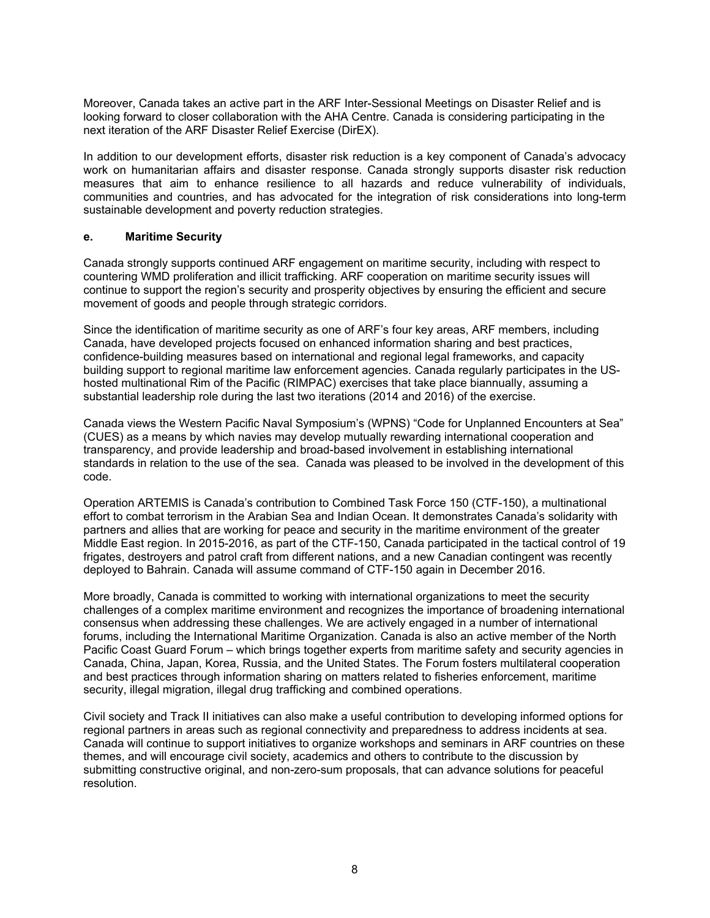Moreover, Canada takes an active part in the ARF Inter-Sessional Meetings on Disaster Relief and is looking forward to closer collaboration with the AHA Centre. Canada is considering participating in the next iteration of the ARF Disaster Relief Exercise (DirEX).

In addition to our development efforts, disaster risk reduction is a key component of Canada's advocacy work on humanitarian affairs and disaster response. Canada strongly supports disaster risk reduction measures that aim to enhance resilience to all hazards and reduce vulnerability of individuals, communities and countries, and has advocated for the integration of risk considerations into long-term sustainable development and poverty reduction strategies.

## **e. Maritime Security**

Canada strongly supports continued ARF engagement on maritime security, including with respect to countering WMD proliferation and illicit trafficking. ARF cooperation on maritime security issues will continue to support the region's security and prosperity objectives by ensuring the efficient and secure movement of goods and people through strategic corridors.

Since the identification of maritime security as one of ARF's four key areas, ARF members, including Canada, have developed projects focused on enhanced information sharing and best practices, confidence-building measures based on international and regional legal frameworks, and capacity building support to regional maritime law enforcement agencies. Canada regularly participates in the UShosted multinational Rim of the Pacific (RIMPAC) exercises that take place biannually, assuming a substantial leadership role during the last two iterations (2014 and 2016) of the exercise.

Canada views the Western Pacific Naval Symposium's (WPNS) "Code for Unplanned Encounters at Sea" (CUES) as a means by which navies may develop mutually rewarding international cooperation and transparency, and provide leadership and broad-based involvement in establishing international standards in relation to the use of the sea. Canada was pleased to be involved in the development of this code.

Operation ARTEMIS is Canada's contribution to Combined Task Force 150 (CTF-150), a multinational effort to combat terrorism in the Arabian Sea and Indian Ocean. It demonstrates Canada's solidarity with partners and allies that are working for peace and security in the maritime environment of the greater Middle East region. In 2015-2016, as part of the CTF-150, Canada participated in the tactical control of 19 frigates, destroyers and patrol craft from different nations, and a new Canadian contingent was recently deployed to Bahrain. Canada will assume command of CTF-150 again in December 2016.

More broadly, Canada is committed to working with international organizations to meet the security challenges of a complex maritime environment and recognizes the importance of broadening international consensus when addressing these challenges. We are actively engaged in a number of international forums, including the International Maritime Organization. Canada is also an active member of the North Pacific Coast Guard Forum – which brings together experts from maritime safety and security agencies in Canada, China, Japan, Korea, Russia, and the United States. The Forum fosters multilateral cooperation and best practices through information sharing on matters related to fisheries enforcement, maritime security, illegal migration, illegal drug trafficking and combined operations.

Civil society and Track II initiatives can also make a useful contribution to developing informed options for regional partners in areas such as regional connectivity and preparedness to address incidents at sea. Canada will continue to support initiatives to organize workshops and seminars in ARF countries on these themes, and will encourage civil society, academics and others to contribute to the discussion by submitting constructive original, and non-zero-sum proposals, that can advance solutions for peaceful resolution.